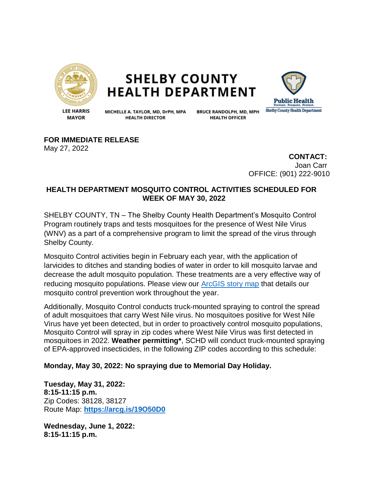

**SHELBY COUNTY HEALTH DEPARTMENT** 



**LEE HARRIS MAYOR** 

MICHELLE A. TAYLOR, MD, DrPH, MPA **HEALTH DIRECTOR** 

**BRUCE RANDOLPH, MD, MPH HEALTH OFFICER** 

**FOR IMMEDIATE RELEASE**

May 27, 2022

**CONTACT:** Joan Carr OFFICE: (901) 222-9010

## **HEALTH DEPARTMENT MOSQUITO CONTROL ACTIVITIES SCHEDULED FOR WEEK OF MAY 30, 2022**

SHELBY COUNTY, TN – The Shelby County Health Department's Mosquito Control Program routinely traps and tests mosquitoes for the presence of West Nile Virus (WNV) as a part of a comprehensive program to limit the spread of the virus through Shelby County.

Mosquito Control activities begin in February each year, with the application of larvicides to ditches and standing bodies of water in order to kill mosquito larvae and decrease the adult mosquito population. These treatments are a very effective way of reducing mosquito populations. Please view our [ArcGIS story map](https://storymaps.arcgis.com/stories/135f4980f2f145b58b53e54fd497181d) that details our mosquito control prevention work throughout the year.

Additionally, Mosquito Control conducts truck-mounted spraying to control the spread of adult mosquitoes that carry West Nile virus. No mosquitoes positive for West Nile Virus have yet been detected, but in order to proactively control mosquito populations, Mosquito Control will spray in zip codes where West Nile Virus was first detected in mosquitoes in 2022. **Weather permitting\***, SCHD will conduct truck-mounted spraying of EPA-approved insecticides, in the following ZIP codes according to this schedule:

**Monday, May 30, 2022: No spraying due to Memorial Day Holiday.**

**Tuesday, May 31, 2022: 8:15-11:15 p.m.**  Zip Codes: 38128, 38127 Route Map: **<https://arcg.is/19O50D0>**

**Wednesday, June 1, 2022: 8:15-11:15 p.m.**